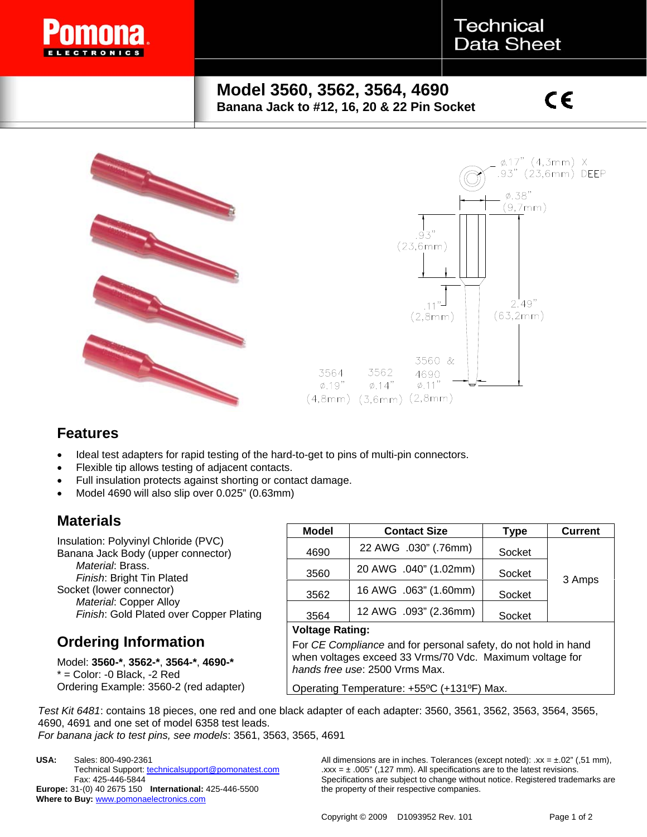

### **Technical Data Sheet**

#### **Model 3560, 3562, 3564, 4690 Banana Jack to #12, 16, 20 & 22 Pin Socket**

## $c\epsilon$



#### **Features**

- Ideal test adapters for rapid testing of the hard-to-get to pins of multi-pin connectors.
- Flexible tip allows testing of adjacent contacts.
- Full insulation protects against shorting or contact damage.
- Model 4690 will also slip over 0.025" (0.63mm)

#### **Materials**

Insulation: Polyvinyl Chloride (PVC) Banana Jack Body (upper connector) *Material*: Brass. *Finish*: Bright Tin Plated Socket (lower connector) *Material*: Copper Alloy *Finish*: Gold Plated over Copper Plating

#### **Ordering Information**

Model: **3560-\***, **3562-\***, **3564-\***, **4690-\***  $*$  = Color: -0 Black, -2 Red Ordering Example: 3560-2 (red adapter)

| <b>Model</b>   | <b>Contact Size</b>   | Type   | <b>Current</b> |
|----------------|-----------------------|--------|----------------|
| 4690           | 22 AWG .030" (.76mm)  | Socket |                |
| 3560           | 20 AWG .040" (1.02mm) | Socket | 3 Amps         |
| 3562           | 16 AWG .063" (1.60mm) | Socket |                |
| 3564           | 12 AWG .093" (2.36mm) | Socket |                |
| Voltage Pating |                       |        |                |

#### **Voltage Rating:**

For *CE Compliance* and for personal safety, do not hold in hand when voltages exceed 33 Vrms/70 Vdc. Maximum voltage for *hands free use*: 2500 Vrms Max.

Operating Temperature: +55ºC (+131ºF) Max.

*Test Kit 6481*: contains 18 pieces, one red and one black adapter of each adapter: 3560, 3561, 3562, 3563, 3564, 3565, 4690, 4691 and one set of model 6358 test leads.

*For banana jack to test pins, see models*: 3561, 3563, 3565, 4691

**USA:** Sales: 800-490-2361 Technical Support: technicalsupport@pomonatest.com Fax: 425-446-5844 **Europe:** 31-(0) 40 2675 150 **International:** 425-446-5500 **Where to Buy:** www.pomonaelectronics.com

All dimensions are in inches. Tolerances (except noted):  $xx = \pm .02$ " (,51 mm),  $\text{.xxx} = \pm .005$ " (,127 mm). All specifications are to the latest revisions. Specifications are subject to change without notice. Registered trademarks are the property of their respective companies.